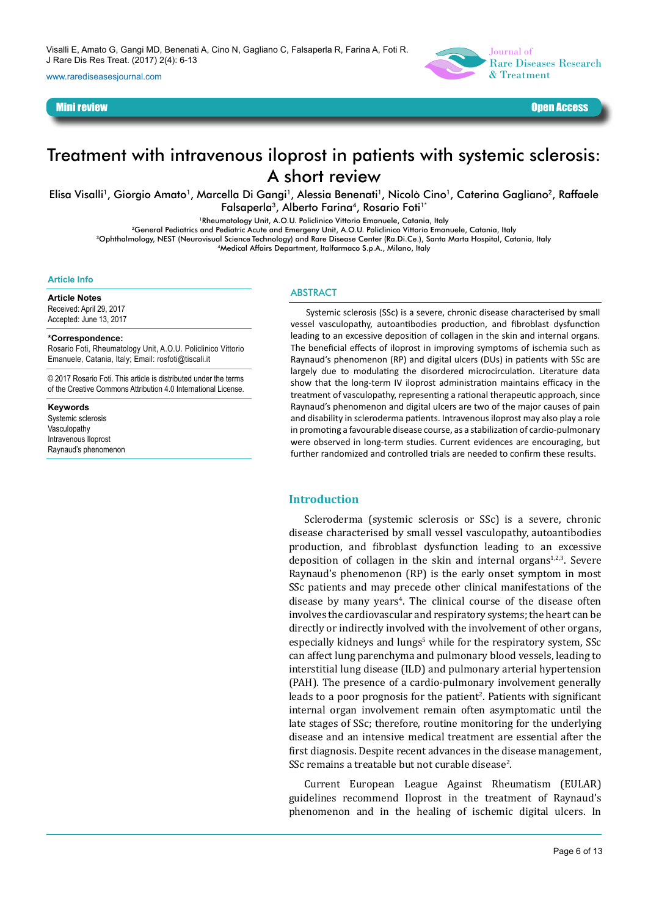www.rarediseasesjournal.com





# Treatment with intravenous iloprost in patients with systemic sclerosis: A short review

Elisa Visalli<sup>1</sup>, Giorgio Amato<sup>1</sup>, Marcella Di Gangi<sup>1</sup>, Alessia Benenati<sup>1</sup>, Nicolò Cino<sup>1</sup>, Caterina Gagliano<sup>2</sup>, Raffaele Falsaperla<sup>3</sup>, Alberto Farina<sup>4</sup>, Rosario Foti<sup>1</sup>\*

<sup>1</sup>Rheumatology Unit, A.O.U. Policlinico Vittorio Emanuele, Catania, Italy

<sup>2</sup>General Pediatrics and Pediatric Acute and Emergeny Unit, A.O.U. Policlinico Vittorio Emanuele, Catania, Italy

<sup>3</sup>Ophthalmology, NEST (Neurovisual Science Technology) and Rare Disease Center (Ra.Di.Ce.), Santa Marta Hospital, Catania, Italy <sup>4</sup>Medical Affairs Department, Italfarmaco S.p.A., Milano, Italy

### **Article Info**

**Article Notes** Received: April 29, 2017 Accepted: June 13, 2017

#### **\*Correspondence:**

Rosario Foti, Rheumatology Unit, A.O.U. Policlinico Vittorio Emanuele, Catania, Italy; Email: rosfoti@tiscali.it

© 2017 Rosario Foti. This article is distributed under the terms of the Creative Commons Attribution 4.0 International License.

**Keywords** Systemic sclerosis Vasculopathy Intravenous Iloprost Raynaud's phenomenon

#### **ABSTRACT**

Systemic sclerosis (SSc) is a severe, chronic disease characterised by small vessel vasculopathy, autoantibodies production, and fibroblast dysfunction leading to an excessive deposition of collagen in the skin and internal organs. The beneficial effects of iloprost in improving symptoms of ischemia such as Raynaud's phenomenon (RP) and digital ulcers (DUs) in patients with SSc are largely due to modulating the disordered microcirculation. Literature data show that the long-term IV iloprost administration maintains efficacy in the treatment of vasculopathy, representing a rational therapeutic approach, since Raynaud's phenomenon and digital ulcers are two of the major causes of pain and disability in scleroderma patients. Intravenous iloprost may also play a role in promoting a favourable disease course, as a stabilization of cardio-pulmonary were observed in long-term studies. Current evidences are encouraging, but further randomized and controlled trials are needed to confirm these results.

## **Introduction**

Scleroderma (systemic sclerosis or SSc) is a severe, chronic disease characterised by small vessel vasculopathy, autoantibodies production, and fibroblast dysfunction leading to an excessive deposition of collagen in the skin and internal organs $1,2,3$ . Severe Raynaud's phenomenon (RP) is the early onset symptom in most SSc patients and may precede other clinical manifestations of the disease by many years<sup>4</sup>. The clinical course of the disease often involves the cardiovascular and respiratory systems; the heart can be directly or indirectly involved with the involvement of other organs, especially kidneys and lungs<sup>5</sup> while for the respiratory system, SSc can affect lung parenchyma and pulmonary blood vessels, leading to interstitial lung disease (ILD) and pulmonary arterial hypertension (PAH). The presence of a cardio-pulmonary involvement generally leads to a poor prognosis for the patient<sup>2</sup>. Patients with significant internal organ involvement remain often asymptomatic until the late stages of SSc; therefore, routine monitoring for the underlying disease and an intensive medical treatment are essential after the first diagnosis. Despite recent advances in the disease management, SSc remains a treatable but not curable disease<sup>2</sup>.

Current European League Against Rheumatism (EULAR) guidelines recommend Iloprost in the treatment of Raynaud's phenomenon and in the healing of ischemic digital ulcers. In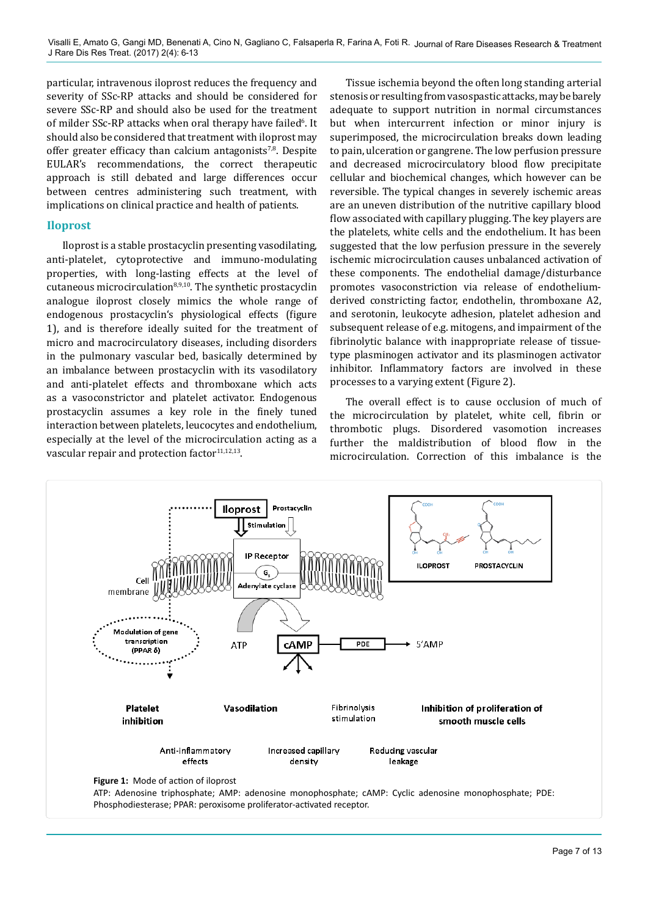particular, intravenous iloprost reduces the frequency and severity of SSc-RP attacks and should be considered for severe SSc-RP and should also be used for the treatment of milder SSc-RP attacks when oral therapy have failed<sup>6</sup>. It should also be considered that treatment with iloprost may offer greater efficacy than calcium antagonists $7,8$ . Despite EULAR's recommendations, the correct therapeutic approach is still debated and large differences occur between centres administering such treatment, with implications on clinical practice and health of patients.

# **Iloprost**

Iloprost is a stable prostacyclin presenting vasodilating, anti-platelet, cytoprotective and immuno-modulating properties, with long-lasting effects at the level of cutaneous microcirculation $8,9,10$ . The synthetic prostacyclin analogue iloprost closely mimics the whole range of endogenous prostacyclin's physiological effects (figure 1), and is therefore ideally suited for the treatment of micro and macrocirculatory diseases, including disorders in the pulmonary vascular bed, basically determined by an imbalance between prostacyclin with its vasodilatory and anti-platelet effects and thromboxane which acts as a vasoconstrictor and platelet activator. Endogenous prostacyclin assumes a key role in the finely tuned interaction between platelets, leucocytes and endothelium, especially at the level of the microcirculation acting as a vascular repair and protection factor $11,12,13$ .

Tissue ischemia beyond the often long standing arterial stenosis or resulting from vasospastic attacks, may be barely adequate to support nutrition in normal circumstances but when intercurrent infection or minor injury is superimposed, the microcirculation breaks down leading to pain, ulceration or gangrene. The low perfusion pressure and decreased microcirculatory blood flow precipitate cellular and biochemical changes, which however can be reversible. The typical changes in severely ischemic areas are an uneven distribution of the nutritive capillary blood flow associated with capillary plugging. The key players are the platelets, white cells and the endothelium. It has been suggested that the low perfusion pressure in the severely ischemic microcirculation causes unbalanced activation of these components. The endothelial damage/disturbance promotes vasoconstriction via release of endotheliumderived constricting factor, endothelin, thromboxane A2, and serotonin, leukocyte adhesion, platelet adhesion and subsequent release of e.g. mitogens, and impairment of the fibrinolytic balance with inappropriate release of tissuetype plasminogen activator and its plasminogen activator inhibitor. Inflammatory factors are involved in these processes to a varying extent (Figure 2).

The overall effect is to cause occlusion of much of the microcirculation by platelet, white cell, fibrin or thrombotic plugs. Disordered vasomotion increases further the maldistribution of blood flow in the microcirculation. Correction of this imbalance is the

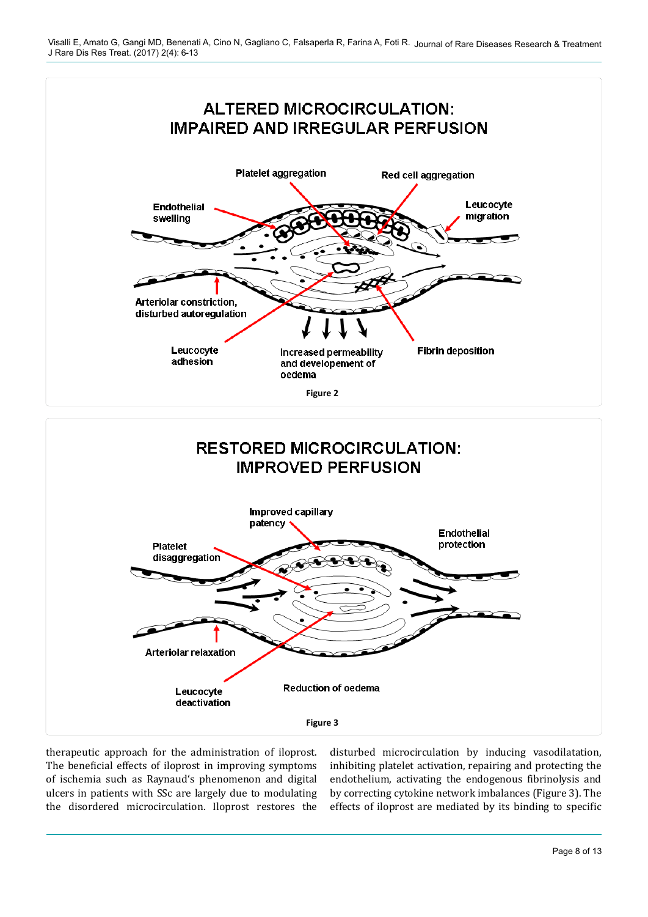



therapeutic approach for the administration of iloprost. The beneficial effects of iloprost in improving symptoms of ischemia such as Raynaud's phenomenon and digital ulcers in patients with SSc are largely due to modulating the disordered microcirculation. Iloprost restores the disturbed microcirculation by inducing vasodilatation, inhibiting platelet activation, repairing and protecting the endothelium, activating the endogenous fibrinolysis and by correcting cytokine network imbalances (Figure 3). The effects of iloprost are mediated by its binding to specific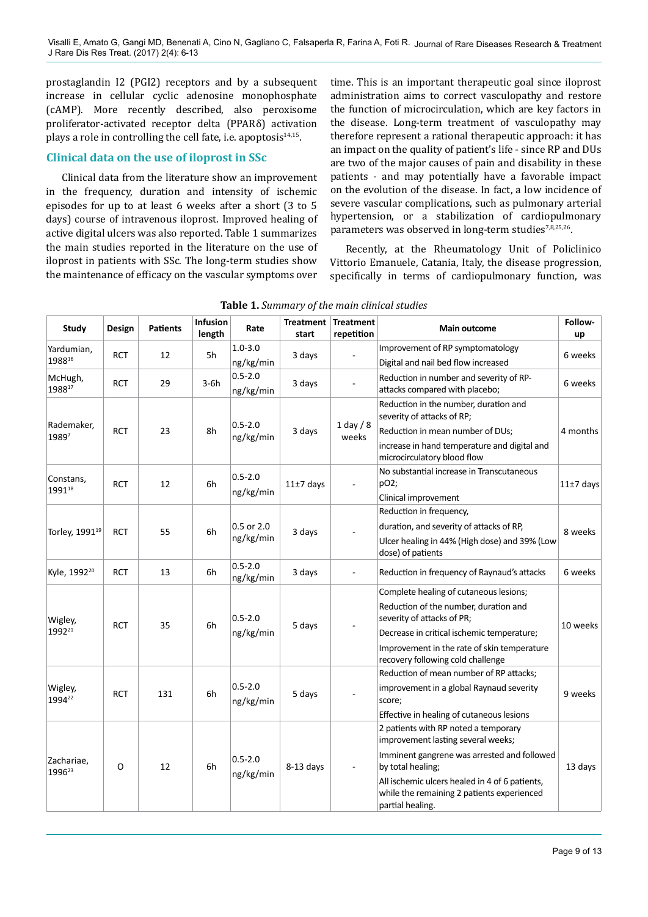prostaglandin I2 (PGI2) receptors and by a subsequent increase in cellular cyclic adenosine monophosphate (cAMP). More recently described, also peroxisome proliferator-activated receptor delta (PPARδ) activation plays a role in controlling the cell fate, i.e. apoptosis $14,15$ .

# **Clinical data on the use of iloprost in SSc**

Clinical data from the literature show an improvement in the frequency, duration and intensity of ischemic episodes for up to at least 6 weeks after a short (3 to 5 days) course of intravenous iloprost. Improved healing of active digital ulcers was also reported. Table 1 summarizes the main studies reported in the literature on the use of iloprost in patients with SSc. The long-term studies show the maintenance of efficacy on the vascular symptoms over time. This is an important therapeutic goal since iloprost administration aims to correct vasculopathy and restore the function of microcirculation, which are key factors in the disease. Long-term treatment of vasculopathy may therefore represent a rational therapeutic approach: it has an impact on the quality of patient's life - since RP and DUs are two of the major causes of pain and disability in these patients - and may potentially have a favorable impact on the evolution of the disease. In fact, a low incidence of severe vascular complications, such as pulmonary arterial hypertension, or a stabilization of cardiopulmonary parameters was observed in long-term studies<sup>7,8,25,26</sup>.

Recently, at the Rheumatology Unit of Policlinico Vittorio Emanuele, Catania, Italy, the disease progression, specifically in terms of cardiopulmonary function, was

| Study                            | Design     | <b>Patients</b> | Infusion<br>length | Rate                        | Treatment<br>start | <b>Treatment</b><br>repetition | <b>Main outcome</b>                                                                                                                                                                                                                                                | Follow-<br>up |
|----------------------------------|------------|-----------------|--------------------|-----------------------------|--------------------|--------------------------------|--------------------------------------------------------------------------------------------------------------------------------------------------------------------------------------------------------------------------------------------------------------------|---------------|
| Yardumian,<br>198816             | RCT        | 12              | 5h                 | $1.0 - 3.0$<br>ng/kg/min    | 3 days             |                                | Improvement of RP symptomatology<br>Digital and nail bed flow increased                                                                                                                                                                                            | 6 weeks       |
| McHugh,<br>198817                | <b>RCT</b> | 29              | 3-6h               | $0.5 - 2.0$<br>ng/kg/min    | 3 days             |                                | Reduction in number and severity of RP-<br>attacks compared with placebo;                                                                                                                                                                                          | 6 weeks       |
| Rademaker,<br>19897              | <b>RCT</b> | 23              | 8h                 | $0.5 - 2.0$<br>ng/kg/min    | 3 days             | $1$ day $/ 8$<br>weeks         | Reduction in the number, duration and<br>severity of attacks of RP;                                                                                                                                                                                                | 4 months      |
|                                  |            |                 |                    |                             |                    |                                | Reduction in mean number of DUs;<br>increase in hand temperature and digital and<br>microcirculatory blood flow                                                                                                                                                    |               |
| Constans,<br>199118              | RCT        | 12              | 6h                 | $0.5 - 2.0$<br>ng/kg/min    | $11±7$ days        | ÷,                             | No substantial increase in Transcutaneous<br>pO2;<br>Clinical improvement                                                                                                                                                                                          | $11±7$ days   |
|                                  | <b>RCT</b> | 55              | 6h                 | $0.5$ or $2.0$<br>ng/kg/min | 3 days             |                                | Reduction in frequency,                                                                                                                                                                                                                                            | 8 weeks       |
| Torley, 1991 <sup>19</sup>       |            |                 |                    |                             |                    |                                | duration, and severity of attacks of RP,                                                                                                                                                                                                                           |               |
|                                  |            |                 |                    |                             |                    |                                | Ulcer healing in 44% (High dose) and 39% (Low<br>dose) of patients                                                                                                                                                                                                 |               |
| Kyle, 1992 <sup>20</sup>         | <b>RCT</b> | 13              | 6h                 | $0.5 - 2.0$<br>ng/kg/min    | 3 days             | ä,                             | Reduction in frequency of Raynaud's attacks                                                                                                                                                                                                                        | 6 weeks       |
| Wigley,<br>1992 <sup>21</sup>    | <b>RCT</b> | 35              | 6h                 | $0.5 - 2.0$<br>ng/kg/min    | 5 days             |                                | Complete healing of cutaneous lesions;<br>Reduction of the number, duration and<br>severity of attacks of PR;<br>Decrease in critical ischemic temperature;<br>Improvement in the rate of skin temperature<br>recovery following cold challenge                    | 10 weeks      |
| Wigley,<br>1994 <sup>22</sup>    | <b>RCT</b> | 131             | 6h                 | $0.5 - 2.0$<br>ng/kg/min    | 5 days             |                                | Reduction of mean number of RP attacks;<br>improvement in a global Raynaud severity<br>score;<br>Effective in healing of cutaneous lesions                                                                                                                         | 9 weeks       |
| Zachariae,<br>1996 <sup>23</sup> | O          | 12              | 6h                 | $0.5 - 2.0$<br>ng/kg/min    | $8-13$ days        |                                | 2 patients with RP noted a temporary<br>improvement lasting several weeks;<br>Imminent gangrene was arrested and followed<br>by total healing;<br>All ischemic ulcers healed in 4 of 6 patients,<br>while the remaining 2 patients experienced<br>partial healing. | 13 days       |

**Table 1.** *Summary of the main clinical studies*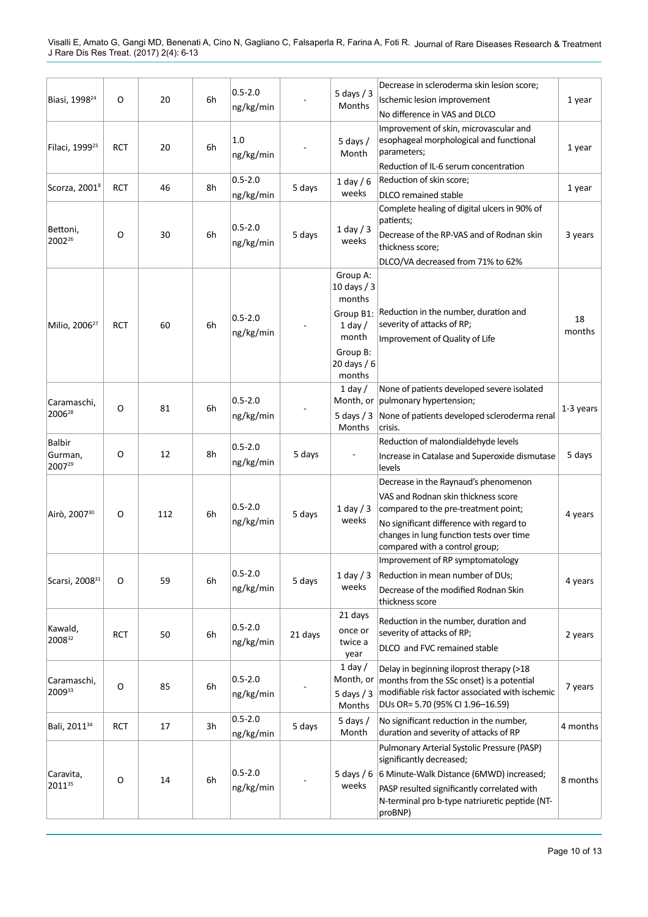| Biasi, 1998 <sup>24</sup>          | O          | 20  | 6h | $0.5 - 2.0$<br>ng/kg/min |         | 5 days $/3$<br>Months                                       | Decrease in scleroderma skin lesion score;<br>Ischemic lesion improvement<br>No difference in VAS and DLCO                                                                                                                                    | 1 year       |
|------------------------------------|------------|-----|----|--------------------------|---------|-------------------------------------------------------------|-----------------------------------------------------------------------------------------------------------------------------------------------------------------------------------------------------------------------------------------------|--------------|
| Filaci, 1999 <sup>25</sup>         | RCT        | 20  | 6h | 1.0<br>ng/kg/min         |         | 5 days $/$<br>Month                                         | Improvement of skin, microvascular and<br>esophageal morphological and functional<br>parameters;<br>Reduction of IL-6 serum concentration                                                                                                     | 1 year       |
| Scorza, 2001 <sup>8</sup>          | <b>RCT</b> | 46  | 8h | $0.5 - 2.0$<br>ng/kg/min | 5 days  | $1$ day / 6<br>weeks                                        | Reduction of skin score;<br>DLCO remained stable                                                                                                                                                                                              | 1 year       |
| Bettoni,<br>2002 <sup>26</sup>     | O          | 30  | 6h | $0.5 - 2.0$<br>ng/kg/min | 5 days  | $1$ day / 3<br>weeks                                        | Complete healing of digital ulcers in 90% of<br>patients;<br>Decrease of the RP-VAS and of Rodnan skin<br>thickness score;<br>DLCO/VA decreased from 71% to 62%                                                                               | 3 years      |
| Milio, 2006 <sup>27</sup>          | RCT        | 60  | 6h | $0.5 - 2.0$<br>ng/kg/min |         | Group A:<br>10 days / 3<br>months<br>Group B1:<br>$1$ day / | Reduction in the number, duration and<br>severity of attacks of RP;                                                                                                                                                                           | 18<br>months |
|                                    |            |     |    |                          |         | month<br>Group B:<br>20 days / 6<br>months                  | Improvement of Quality of Life                                                                                                                                                                                                                |              |
| Caramaschi,<br>2006 <sup>28</sup>  | O          | 81  | 6h | $0.5 - 2.0$<br>ng/kg/min |         | $1$ day $/$<br>$5$ days / 3                                 | None of patients developed severe isolated<br>Month, or pulmonary hypertension;<br>None of patients developed scleroderma renal                                                                                                               | 1-3 years    |
| <b>Balbir</b><br>Gurman,<br>200729 | O          | 12  | 8h | $0.5 - 2.0$<br>ng/kg/min | 5 days  | Months                                                      | crisis.<br>Reduction of malondialdehyde levels<br>Increase in Catalase and Superoxide dismutase<br>levels                                                                                                                                     | 5 days       |
| Airò, 2007 <sup>30</sup>           | O          | 112 | 6h | $0.5 - 2.0$<br>ng/kg/min | 5 days  | $1$ day / 3<br>weeks                                        | Decrease in the Raynaud's phenomenon<br>VAS and Rodnan skin thickness score<br>compared to the pre-treatment point;<br>No significant difference with regard to<br>changes in lung function tests over time<br>compared with a control group; | 4 years      |
| Scarsi, 2008 <sup>31</sup>         | O          | 59  | 6h | $0.5 - 2.0$<br>ng/kg/min | 5 days  | $1$ day / 3<br>weeks                                        | Improvement of RP symptomatology<br>Reduction in mean number of DUs;<br>Decrease of the modified Rodnan Skin<br>thickness score                                                                                                               | 4 years      |
| Kawald,<br>200832                  | RCT        | 50  | 6h | $0.5 - 2.0$<br>ng/kg/min | 21 days | 21 days<br>once or<br>twice a<br>year                       | Reduction in the number, duration and<br>severity of attacks of RP;<br>DLCO and FVC remained stable                                                                                                                                           | 2 years      |
| Caramaschi,<br>200933              | O          | 85  | 6h | $0.5 - 2.0$<br>ng/kg/min |         | 1 day $/$<br>Month, or<br>5 days $/$ 3<br>Months            | Delay in beginning iloprost therapy (>18<br>months from the SSc onset) is a potential<br>modifiable risk factor associated with ischemic<br>DUs OR= 5.70 (95% CI 1.96-16.59)                                                                  | 7 years      |
| Bali, 2011 <sup>34</sup>           | <b>RCT</b> | 17  | 3h | $0.5 - 2.0$<br>ng/kg/min | 5 days  | 5 days $/$<br>Month                                         | No significant reduction in the number,<br>duration and severity of attacks of RP                                                                                                                                                             | 4 months     |
| Caravita,<br>201135                | O          | 14  | 6h | $0.5 - 2.0$<br>ng/kg/min |         | 5 days $/ 6$<br>weeks                                       | Pulmonary Arterial Systolic Pressure (PASP)<br>significantly decreased;<br>6 Minute-Walk Distance (6MWD) increased;<br>PASP resulted significantly correlated with<br>N-terminal pro b-type natriuretic peptide (NT-<br>proBNP)               | 8 months     |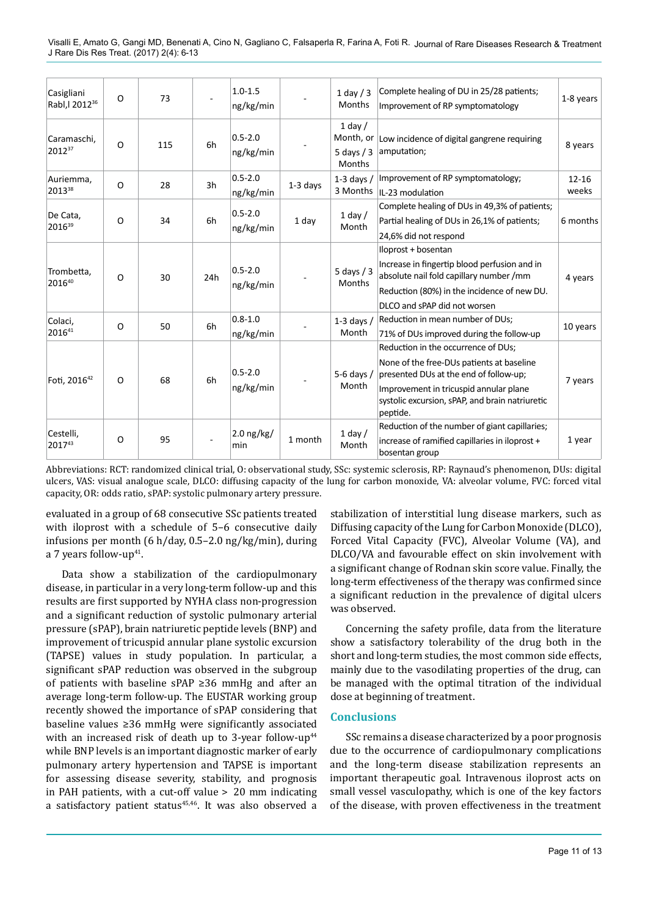| Casigliani<br>Rabl, l 2012 <sup>36</sup> | O        | 73  |     | $1.0 - 1.5$<br>ng/kg/min |            | $1$ day / 3<br>Months                             | Complete healing of DU in 25/28 patients;<br>Improvement of RP symptomatology                                                                                                                                                       | 1-8 years          |
|------------------------------------------|----------|-----|-----|--------------------------|------------|---------------------------------------------------|-------------------------------------------------------------------------------------------------------------------------------------------------------------------------------------------------------------------------------------|--------------------|
| Caramaschi,<br>201237                    | $\circ$  | 115 | 6h  | $0.5 - 2.0$<br>ng/kg/min |            | $1$ day $/$<br>Month, or<br>5 days $/3$<br>Months | Low incidence of digital gangrene requiring<br>amputation;                                                                                                                                                                          | 8 years            |
| Auriemma,<br>201338                      | $\circ$  | 28  | 3h  | $0.5 - 2.0$<br>ng/kg/min | $1-3$ days | $1-3$ days /<br>3 Months                          | Improvement of RP symptomatology;<br>IL-23 modulation                                                                                                                                                                               | $12 - 16$<br>weeks |
| De Cata,<br>201639                       | O        | 34  | 6h  | $0.5 - 2.0$<br>ng/kg/min | 1 day      | 1 day $/$<br>Month                                | Complete healing of DUs in 49,3% of patients;<br>Partial healing of DUs in 26,1% of patients;<br>24,6% did not respond                                                                                                              | 6 months           |
| Trombetta,<br>201640                     | $\Omega$ | 30  | 24h | $0.5 - 2.0$<br>ng/kg/min |            | $5$ days / 3<br>Months                            | Iloprost + bosentan<br>Increase in fingertip blood perfusion and in<br>absolute nail fold capillary number /mm<br>Reduction (80%) in the incidence of new DU.<br>DLCO and sPAP did not worsen                                       | 4 years            |
| Colaci,<br>201641                        | $\circ$  | 50  | 6h  | $0.8 - 1.0$<br>ng/kg/min |            | $1-3$ days /<br>Month                             | Reduction in mean number of DUs;<br>71% of DUs improved during the follow-up                                                                                                                                                        | 10 years           |
| Foti, 2016 <sup>42</sup>                 | O        | 68  | 6h  | $0.5 - 2.0$<br>ng/kg/min |            | 5-6 days $/$<br>Month                             | Reduction in the occurrence of DUs;<br>None of the free-DUs patients at baseline<br>presented DUs at the end of follow-up;<br>Improvement in tricuspid annular plane<br>systolic excursion, sPAP, and brain natriuretic<br>peptide. | 7 years            |
| Cestelli,<br>201743                      | O        | 95  |     | $2.0$ ng/kg/<br>min      | 1 month    | $1$ day /<br>Month                                | Reduction of the number of giant capillaries;<br>increase of ramified capillaries in iloprost +<br>bosentan group                                                                                                                   | 1 year             |

Abbreviations: RCT: randomized clinical trial, O: observational study, SSc: systemic sclerosis, RP: Raynaud's phenomenon, DUs: digital ulcers, VAS: visual analogue scale, DLCO: diffusing capacity of the lung for carbon monoxide, VA: alveolar volume, FVC: forced vital capacity, OR: odds ratio, sPAP: systolic pulmonary artery pressure.

evaluated in a group of 68 consecutive SSc patients treated with iloprost with a schedule of 5–6 consecutive daily infusions per month (6 h/day, 0.5–2.0 ng/kg/min), during a 7 years follow-up<sup>41</sup>.

Data show a stabilization of the cardiopulmonary disease, in particular in a very long-term follow-up and this results are first supported by NYHA class non-progression and a significant reduction of systolic pulmonary arterial pressure (sPAP), brain natriuretic peptide levels (BNP) and improvement of tricuspid annular plane systolic excursion (TAPSE) values in study population. In particular, a significant sPAP reduction was observed in the subgroup of patients with baseline sPAP ≥36 mmHg and after an average long-term follow-up. The EUSTAR working group recently showed the importance of sPAP considering that baseline values ≥36 mmHg were significantly associated with an increased risk of death up to 3-year follow-up<sup>44</sup> while BNP levels is an important diagnostic marker of early pulmonary artery hypertension and TAPSE is important for assessing disease severity, stability, and prognosis in PAH patients, with a cut-off value >  20 mm indicating a satisfactory patient status<sup>45,46</sup>. It was also observed a

stabilization of interstitial lung disease markers, such as Diffusing capacity of the Lung for Carbon Monoxide (DLCO), Forced Vital Capacity (FVC), Alveolar Volume (VA), and DLCO/VA and favourable effect on skin involvement with a significant change of Rodnan skin score value. Finally, the long-term effectiveness of the therapy was confirmed since a significant reduction in the prevalence of digital ulcers was observed.

Concerning the safety profile, data from the literature show a satisfactory tolerability of the drug both in the short and long-term studies, the most common side effects, mainly due to the vasodilating properties of the drug, can be managed with the optimal titration of the individual dose at beginning of treatment.

# **Conclusions**

SSc remains a disease characterized by a poor prognosis due to the occurrence of cardiopulmonary complications and the long-term disease stabilization represents an important therapeutic goal. Intravenous iloprost acts on small vessel vasculopathy, which is one of the key factors of the disease, with proven effectiveness in the treatment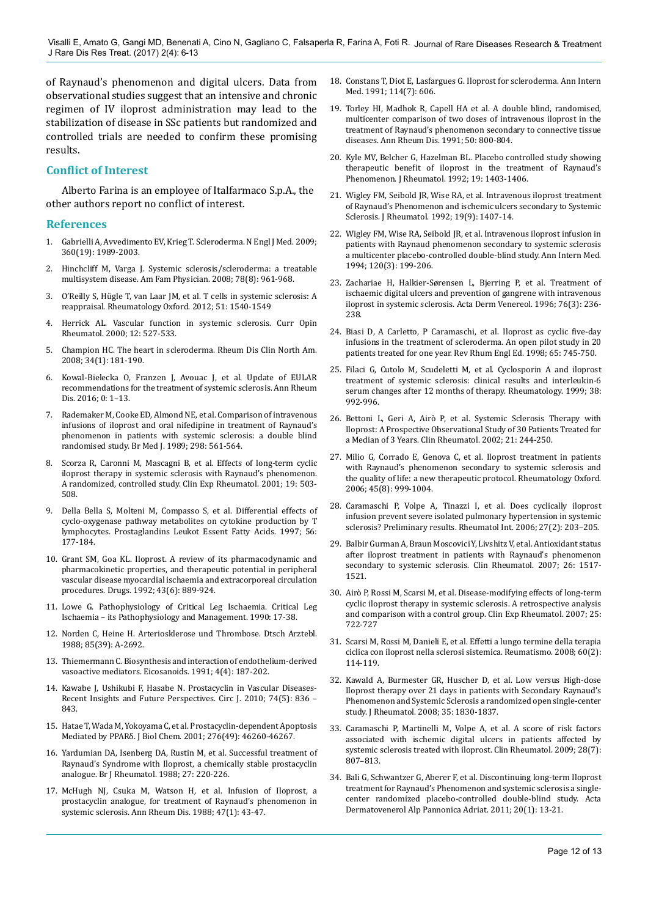of Raynaud's phenomenon and digital ulcers. Data from observational studies suggest that an intensive and chronic regimen of IV iloprost administration may lead to the stabilization of disease in SSc patients but randomized and controlled trials are needed to confirm these promising results.

## **Conflict of Interest**

Alberto Farina is an employee of Italfarmaco S.p.A., the other authors report no conflict of interest.

#### **References**

- 1. Gabrielli A, Avvedimento EV, Krieg T. Scleroderma. N Engl J Med. 2009; 360(19): 1989-2003.
- 2. Hinchcliff M, Varga J. Systemic sclerosis/scleroderma: a treatable multisystem disease. Am Fam Physician. 2008; 78(8): 961-968.
- 3. O'Reilly S, Hügle T, van Laar JM, et al. T cells in systemic sclerosis: A reappraisal. Rheumatology Oxford. 2012; 51: 1540-1549
- 4. Herrick AL. Vascular function in systemic sclerosis. Curr Opin Rheumatol. 2000; 12: 527-533.
- 5. Champion HC. The heart in scleroderma. Rheum Dis Clin North Am. 2008; 34(1): 181-190.
- 6. Kowal-Bielecka O, Franzen J, Avouac J, et al. Update of EULAR recommendations for the treatment of systemic sclerosis. Ann Rheum Dis. 2016; 0: 1–13.
- Rademaker M, Cooke ED, Almond NE, et al. Comparison of intravenous infusions of iloprost and oral nifedipine in treatment of Raynaud's phenomenon in patients with systemic sclerosis: a double blind randomised study. Br Med J. 1989; 298: 561-564.
- 8. Scorza R, Caronni M, Mascagni B, et al. Effects of long-term cyclic iloprost therapy in systemic sclerosis with Raynaud's phenomenon. A randomized, controlled study. Clin Exp Rheumatol. 2001; 19: 503- 508.
- 9. Della Bella S, Molteni M, Compasso S, et al. Differential effects of cyclo-oxygenase pathway metabolites on cytokine production by T lymphocytes. Prostaglandins Leukot Essent Fatty Acids. 1997; 56: 177-184.
- 10. Grant SM, Goa KL. Iloprost. A review of its pharmacodynamic and pharmacokinetic properties, and therapeutic potential in peripheral vascular disease myocardial ischaemia and extracorporeal circulation procedures. Drugs. 1992; 43(6): 889-924.
- 11. Lowe G. Pathophysiology of Critical Leg Ischaemia. Critical Leg Ischaemia – its Pathophysiology and Management. 1990: 17-38.
- 12. Norden C, Heine H. Arteriosklerose und Thrombose. Dtsch Arztebl. 1988; 85(39): A-2692.
- 13. Thiemermann C. Biosynthesis and interaction of endothelium-derived vasoactive mediators. Eicosanoids. 1991; 4(4): 187-202.
- 14. Kawabe J, Ushikubi F, Hasabe N. Prostacyclin in Vascular Diseases-Recent Insights and Future Perspectives. Circ J. 2010; 74(5): 836 – 843.
- 15. Hatae T, Wada M, Yokoyama C, et al. Prostacyclin-dependent Apoptosis Mediated by PPARδ. J Biol Chem. 2001; 276(49): 46260-46267.
- 16. Yardumian DA, Isenberg DA, Rustin M, et al. Successful treatment of Raynaud's Syndrome with Iloprost, a chemically stable prostacyclin analogue. Br J Rheumatol. 1988; 27: 220-226.
- 17. McHugh NJ, Csuka M, Watson H, et al. Infusion of Iloprost, a prostacyclin analogue, for treatment of Raynaud's phenomenon in systemic sclerosis. Ann Rheum Dis. 1988; 47(1): 43-47.
- 18. Constans T, Diot E, Lasfargues G. Iloprost for scleroderma. Ann Intern Med. 1991; 114(7): 606.
- 19. Torley HI, Madhok R, Capell HA et al. A double blind, randomised, multicenter comparison of two doses of intravenous iloprost in the treatment of Raynaud's phenomenon secondary to connective tissue diseases. Ann Rheum Dis. 1991; 50: 800-804.
- 20. Kyle MV, Belcher G, Hazelman BL. Placebo controlled study showing therapeutic benefit of iloprost in the treatment of Raynaud's Phenomenon. J Rheumatol. 1992; 19: 1403-1406.
- 21. Wigley FM, Seibold JR, Wise RA, et al. Intravenous iloprost treatment of Raynaud's Phenomenon and ischemic ulcers secondary to Systemic Sclerosis. J Rheumatol. 1992; 19(9): 1407-14.
- 22. Wigley FM, Wise RA, Seibold JR, et al. Intravenous iloprost infusion in patients with Raynaud phenomenon secondary to systemic sclerosis a multicenter placebo-controlled double-blind study. Ann Intern Med. 1994; 120(3): 199-206.
- 23. Zachariae H, Halkier-Sørensen L, Bjerring P, et al. Treatment of ischaemic digital ulcers and prevention of gangrene with intravenous iloprost in systemic sclerosis. Acta Derm Venereol. 1996; 76(3): 236- 238.
- 24. Biasi D, A Carletto, P Caramaschi, et al. Iloprost as cyclic five-day infusions in the treatment of scleroderma. An open pilot study in 20 patients treated for one year. Rev Rhum Engl Ed. 1998; 65: 745-750.
- 25. Filaci G, Cutolo M, Scudeletti M, et al. Cyclosporin A and iloprost treatment of systemic sclerosis: clinical results and interleukin-6 serum changes after 12 months of therapy. Rheumatology. 1999; 38: 992-996.
- 26. Bettoni L, Geri A, Airò P, et al. Systemic Sclerosis Therapy with Iloprost: A Prospective Observational Study of 30 Patients Treated for a Median of 3 Years. Clin Rheumatol. 2002; 21: 244-250.
- 27. Milio G, Corrado E, Genova C, et al. Iloprost treatment in patients with Raynaud's phenomenon secondary to systemic sclerosis and the quality of life: a new therapeutic protocol. Rheumatology Oxford. 2006; 45(8): 999-1004.
- 28. Caramaschi P, Volpe A, Tinazzi I, et al. Does cyclically iloprost infusion prevent severe isolated pulmonary hypertension in systemic sclerosis? Preliminary results. Rheumatol Int. 2006; 27(2): 203–205.
- 29. Balbir Gurman A, Braun Moscovici Y, Livshitz V, et al. Antioxidant status after iloprost treatment in patients with Raynaud's phenomenon secondary to systemic sclerosis. Clin Rheumatol. 2007; 26: 1517- 1521.
- 30. Airò P, Rossi M, Scarsi M, et al. Disease-modifying effects of long-term cyclic iloprost therapy in systemic sclerosis. A retrospective analysis and comparison with a control group. Clin Exp Rheumatol. 2007; 25: 722-727
- 31. Scarsi M, Rossi M, Danieli E, et al. Effetti a lungo termine della terapia ciclica con iloprost nella sclerosi sistemica. Reumatismo. 2008; 60(2): 114-119.
- 32. Kawald A, Burmester GR, Huscher D, et al. Low versus High-dose Iloprost therapy over 21 days in patients with Secondary Raynaud's Phenomenon and Systemic Sclerosis a randomized open single-center study. J Rheumatol. 2008; 35: 1830-1837.
- 33. Caramaschi P, Martinelli M, Volpe A, et al. A score of risk factors associated with ischemic digital ulcers in patients affected by systemic sclerosis treated with iloprost. Clin Rheumatol. 2009; 28(7): 807–813.
- 34. Bali G, Schwantzer G, Aberer F, et al. Discontinuing long-term Iloprost treatment for Raynaud's Phenomenon and systemic sclerosis a singlecenter randomized placebo-controlled double-blind study. Acta Dermatovenerol Alp Pannonica Adriat. 2011; 20(1): 13-21.